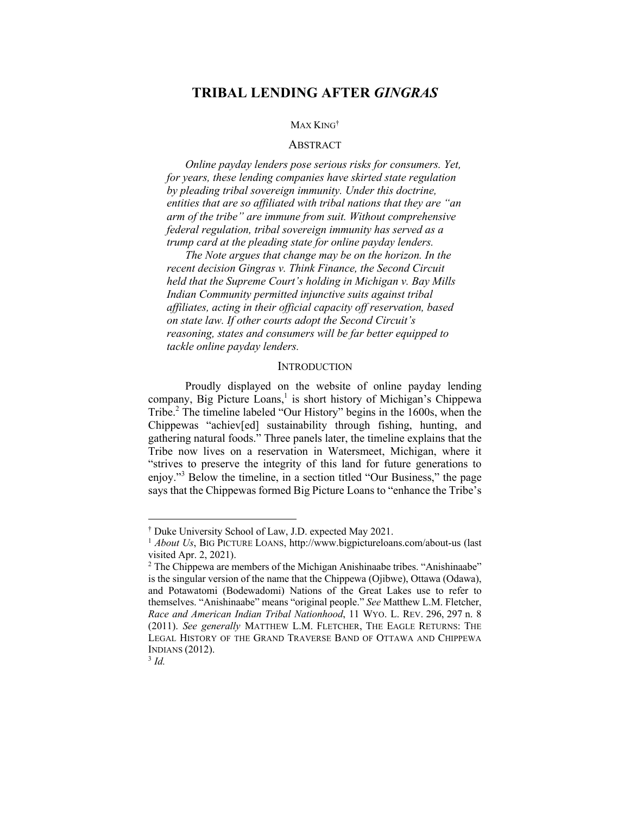## MAX KING†

#### ABSTRACT

*Online payday lenders pose serious risks for consumers. Yet, for years, these lending companies have skirted state regulation by pleading tribal sovereign immunity. Under this doctrine, entities that are so affiliated with tribal nations that they are "an arm of the tribe" are immune from suit. Without comprehensive federal regulation, tribal sovereign immunity has served as a trump card at the pleading state for online payday lenders.*

*The Note argues that change may be on the horizon. In the recent decision Gingras v. Think Finance, the Second Circuit held that the Supreme Court's holding in Michigan v. Bay Mills Indian Community permitted injunctive suits against tribal affiliates, acting in their official capacity off reservation, based on state law. If other courts adopt the Second Circuit's reasoning, states and consumers will be far better equipped to tackle online payday lenders.*

#### **INTRODUCTION**

Proudly displayed on the website of online payday lending company, Big Picture Loans, <sup>1</sup> is short history of Michigan's Chippewa Tribe. <sup>2</sup> The timeline labeled "Our History" begins in the 1600s, when the Chippewas "achiev[ed] sustainability through fishing, hunting, and gathering natural foods." Three panels later, the timeline explains that the Tribe now lives on a reservation in Watersmeet, Michigan, where it "strives to preserve the integrity of this land for future generations to enjoy."<sup>3</sup> Below the timeline, in a section titled "Our Business," the page says that the Chippewas formed Big Picture Loans to "enhance the Tribe's

<sup>†</sup> Duke University School of Law, J.D. expected May 2021.

<sup>&</sup>lt;sup>1</sup> *About Us*, BIG PICTURE LOANS, http://www.bigpictureloans.com/about-us (last visited Apr. 2, 2021). 2 The Chippewa are members of the Michigan Anishinaabe tribes. "Anishinaabe"

is the singular version of the name that the Chippewa (Ojibwe), Ottawa (Odawa), and Potawatomi (Bodewadomi) Nations of the Great Lakes use to refer to themselves. "Anishinaabe" means "original people." *See* Matthew L.M. Fletcher, *Race and American Indian Tribal Nationhood*, 11 WYO. L. REV. 296, 297 n. 8 (2011). *See generally* MATTHEW L.M. FLETCHER, THE EAGLE RETURNS: THE LEGAL HISTORY OF THE GRAND TRAVERSE BAND OF OTTAWA AND CHIPPEWA INDIANS (2012).

 $3$  *Id.*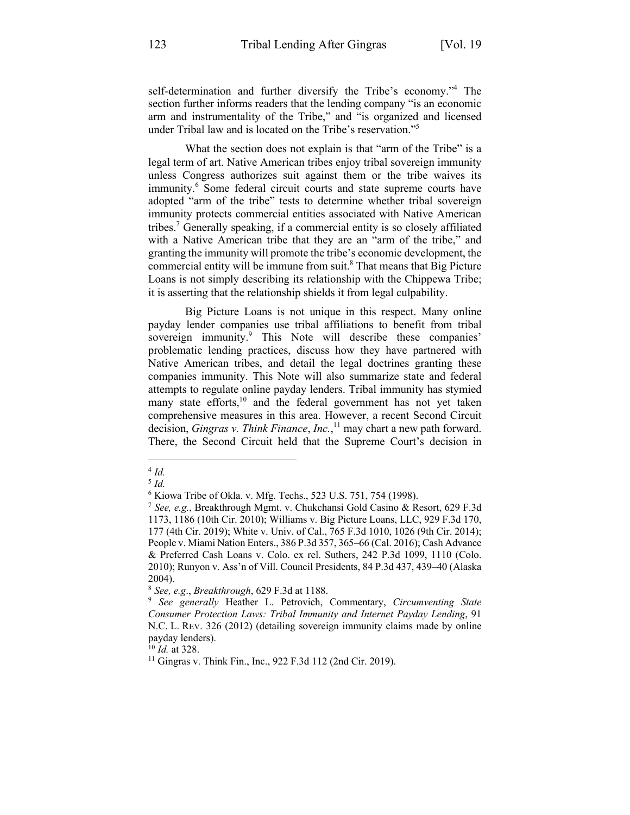self-determination and further diversify the Tribe's economy."4 The section further informs readers that the lending company "is an economic arm and instrumentality of the Tribe," and "is organized and licensed under Tribal law and is located on the Tribe's reservation."5

What the section does not explain is that "arm of the Tribe" is a legal term of art. Native American tribes enjoy tribal sovereign immunity unless Congress authorizes suit against them or the tribe waives its immunity.<sup>6</sup> Some federal circuit courts and state supreme courts have adopted "arm of the tribe" tests to determine whether tribal sovereign immunity protects commercial entities associated with Native American tribes.7 Generally speaking, if a commercial entity is so closely affiliated with a Native American tribe that they are an "arm of the tribe," and granting the immunity will promote the tribe's economic development, the commercial entity will be immune from suit.<sup>8</sup> That means that Big Picture Loans is not simply describing its relationship with the Chippewa Tribe; it is asserting that the relationship shields it from legal culpability.

Big Picture Loans is not unique in this respect. Many online payday lender companies use tribal affiliations to benefit from tribal sovereign immunity.<sup>9</sup> This Note will describe these companies' problematic lending practices, discuss how they have partnered with Native American tribes, and detail the legal doctrines granting these companies immunity. This Note will also summarize state and federal attempts to regulate online payday lenders. Tribal immunity has stymied many state efforts,<sup>10</sup> and the federal government has not yet taken comprehensive measures in this area. However, a recent Second Circuit decision, *Gingras v. Think Finance*, *Inc.*, <sup>11</sup> may chart a new path forward. There, the Second Circuit held that the Supreme Court's decision in

<sup>10</sup> *Id.* at 328.

<sup>4</sup> *Id.*

<sup>5</sup> *Id.*

<sup>6</sup> Kiowa Tribe of Okla. v. Mfg. Techs., 523 U.S. 751, 754 (1998).

<sup>7</sup> *See, e.g.*, Breakthrough Mgmt. v. Chukchansi Gold Casino & Resort, 629 F.3d 1173, 1186 (10th Cir. 2010); Williams v. Big Picture Loans, LLC, 929 F.3d 170, 177 (4th Cir. 2019); White v. Univ. of Cal., 765 F.3d 1010, 1026 (9th Cir. 2014); People v. Miami Nation Enters., 386 P.3d 357, 365–66 (Cal. 2016); Cash Advance & Preferred Cash Loans v. Colo. ex rel. Suthers, 242 P.3d 1099, 1110 (Colo. 2010); Runyon v. Ass'n of Vill. Council Presidents, 84 P.3d 437, 439–40 (Alaska 2004).

<sup>8</sup> *See, e.g*., *Breakthrough*, 629 F.3d at 1188.

<sup>9</sup> *See generally* Heather L. Petrovich, Commentary, *Circumventing State Consumer Protection Laws: Tribal Immunity and Internet Payday Lending*, 91 N.C. L. REV. 326 (2012) (detailing sovereign immunity claims made by online payday lenders).

<sup>&</sup>lt;sup>11</sup> Gingras v. Think Fin., Inc., 922 F.3d 112 (2nd Cir. 2019).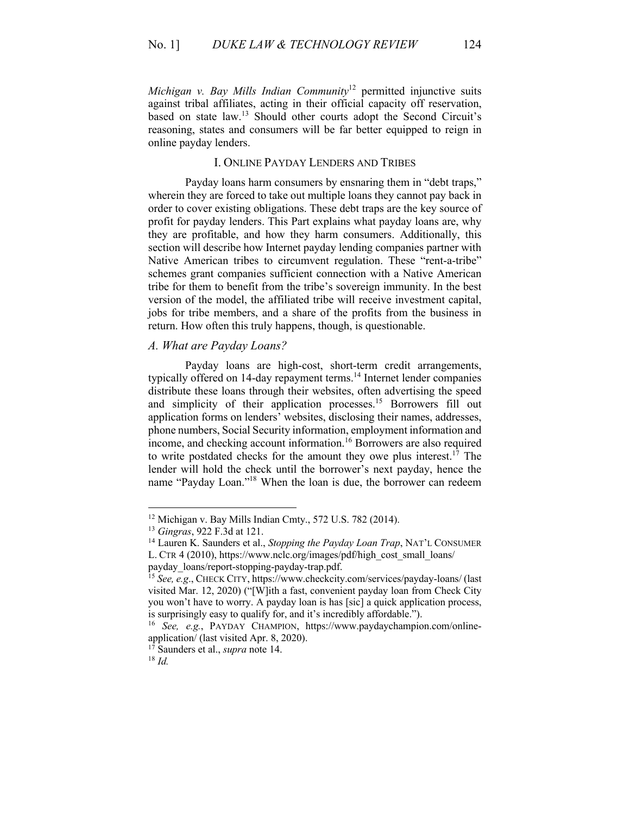*Michigan v. Bay Mills Indian Community*<sup>12</sup> permitted injunctive suits against tribal affiliates, acting in their official capacity off reservation, based on state law.<sup>13</sup> Should other courts adopt the Second Circuit's reasoning, states and consumers will be far better equipped to reign in online payday lenders.

## I. ONLINE PAYDAY LENDERS AND TRIBES

Payday loans harm consumers by ensnaring them in "debt traps," wherein they are forced to take out multiple loans they cannot pay back in order to cover existing obligations. These debt traps are the key source of profit for payday lenders. This Part explains what payday loans are, why they are profitable, and how they harm consumers. Additionally, this section will describe how Internet payday lending companies partner with Native American tribes to circumvent regulation. These "rent-a-tribe" schemes grant companies sufficient connection with a Native American tribe for them to benefit from the tribe's sovereign immunity. In the best version of the model, the affiliated tribe will receive investment capital, jobs for tribe members, and a share of the profits from the business in return. How often this truly happens, though, is questionable.

## *A. What are Payday Loans?*

Payday loans are high-cost, short-term credit arrangements, typically offered on 14-day repayment terms.<sup>14</sup> Internet lender companies distribute these loans through their websites, often advertising the speed and simplicity of their application processes. <sup>15</sup> Borrowers fill out application forms on lenders' websites, disclosing their names, addresses, phone numbers, Social Security information, employment information and income, and checking account information.<sup>16</sup> Borrowers are also required to write postdated checks for the amount they owe plus interest.<sup>17</sup> The lender will hold the check until the borrower's next payday, hence the name "Payday Loan."18 When the loan is due, the borrower can redeem

<sup>12</sup> Michigan v. Bay Mills Indian Cmty., 572 U.S. 782 (2014). 13 *Gingras*, 922 F.3d at 121.

<sup>14</sup> Lauren K. Saunders et al., *Stopping the Payday Loan Trap*, NAT'L CONSUMER L. CTR 4 (2010), https://www.nclc.org/images/pdf/high\_cost\_small\_loans/ payday\_loans/report-stopping-payday-trap.pdf.

<sup>15</sup> *See, e.g*., CHECK CITY, https://www.checkcity.com/services/payday-loans/ (last visited Mar. 12, 2020) ("[W]ith a fast, convenient payday loan from Check City you won't have to worry. A payday loan is has [sic] a quick application process, is surprisingly easy to qualify for, and it's incredibly affordable.").

<sup>16</sup> *See, e.g.*, PAYDAY CHAMPION, https://www.paydaychampion.com/onlineapplication/ (last visited Apr. 8, 2020). 17 Saunders et al., *supra* note 14.

<sup>18</sup> *Id.*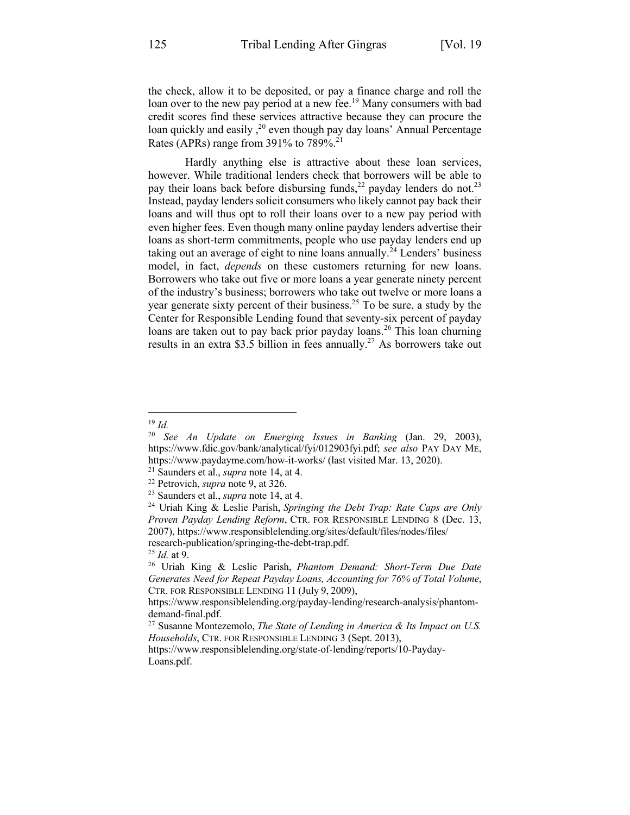the check, allow it to be deposited, or pay a finance charge and roll the loan over to the new pay period at a new fee.<sup>19</sup> Many consumers with bad credit scores find these services attractive because they can procure the loan quickly and easily,<sup>20</sup> even though pay day loans' Annual Percentage Rates (APRs) range from  $391\%$  to  $789\%$ <sup>21</sup>

Hardly anything else is attractive about these loan services, however. While traditional lenders check that borrowers will be able to pay their loans back before disbursing funds,<sup>22</sup> payday lenders do not.<sup>23</sup> Instead, payday lenders solicit consumers who likely cannot pay back their loans and will thus opt to roll their loans over to a new pay period with even higher fees. Even though many online payday lenders advertise their loans as short-term commitments, people who use payday lenders end up taking out an average of eight to nine loans annually.<sup>24</sup> Lenders' business model, in fact, *depends* on these customers returning for new loans. Borrowers who take out five or more loans a year generate ninety percent of the industry's business; borrowers who take out twelve or more loans a year generate sixty percent of their business.<sup>25</sup> To be sure, a study by the Center for Responsible Lending found that seventy-six percent of payday loans are taken out to pay back prior payday loans.<sup>26</sup> This loan churning results in an extra \$3.5 billion in fees annually.<sup>27</sup> As borrowers take out

<sup>19</sup> *Id.*

<sup>20</sup> *See An Update on Emerging Issues in Banking* (Jan. 29, 2003), https://www.fdic.gov/bank/analytical/fyi/012903fyi.pdf; *see also* PAY DAY ME, https://www.paydayme.com/how-it-works/ (last visited Mar. 13, 2020).

<sup>21</sup> Saunders et al., *supra* note 14, at 4. 22 Petrovich, *supra* note 9, at 326. 23 Saunders et al., *supra* note 14, at 4.

<sup>24</sup> Uriah King & Leslie Parish, *Springing the Debt Trap: Rate Caps are Only Proven Payday Lending Reform*, CTR. FOR RESPONSIBLE LENDING 8 (Dec. 13, 2007), https://www.responsiblelending.org/sites/default/files/nodes/files/ research-publication/springing-the-debt-trap.pdf.

<sup>25</sup> *Id.* at 9. 26 Uriah King & Leslie Parish, *Phantom Demand: Short-Term Due Date Generates Need for Repeat Payday Loans, Accounting for 76% of Total Volume*, CTR. FOR RESPONSIBLE LENDING 11 (July 9, 2009),

https://www.responsiblelending.org/payday-lending/research-analysis/phantomdemand-final.pdf.

<sup>27</sup> Susanne Montezemolo, *The State of Lending in America & Its Impact on U.S. Households*, CTR. FOR RESPONSIBLE LENDING 3 (Sept. 2013),

https://www.responsiblelending.org/state-of-lending/reports/10-Payday-Loans.pdf.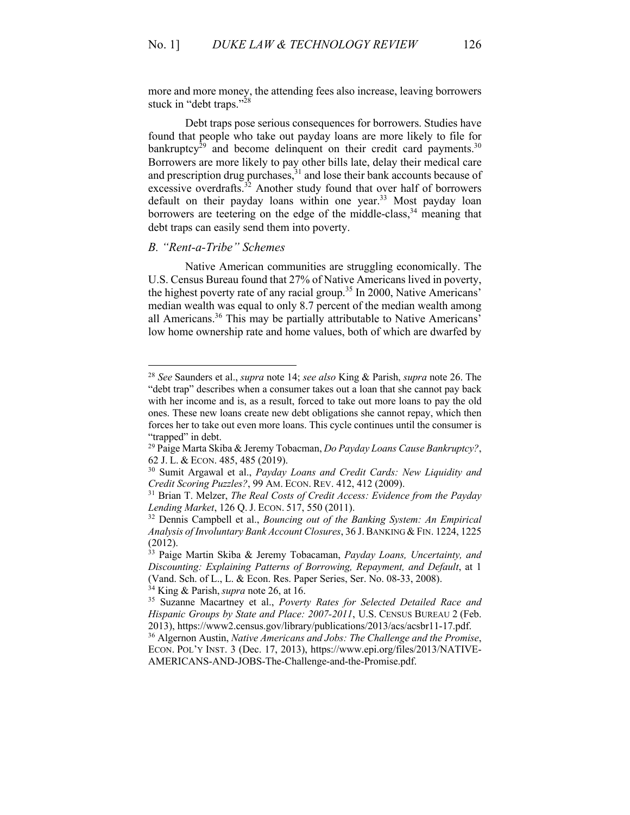more and more money, the attending fees also increase, leaving borrowers stuck in "debt traps."28

Debt traps pose serious consequences for borrowers. Studies have found that people who take out payday loans are more likely to file for bankruptcy<sup>29</sup> and become delinquent on their credit card payments.<sup>30</sup> Borrowers are more likely to pay other bills late, delay their medical care and prescription drug purchases,<sup>31</sup> and lose their bank accounts because of excessive overdrafts.<sup>32</sup> Another study found that over half of borrowers default on their payday loans within one year.<sup>33</sup> Most payday loan borrowers are teetering on the edge of the middle-class,  $34$  meaning that debt traps can easily send them into poverty.

## *B. "Rent-a-Tribe" Schemes*

Native American communities are struggling economically. The U.S. Census Bureau found that 27% of Native Americans lived in poverty, the highest poverty rate of any racial group.<sup>35</sup> In 2000, Native Americans' median wealth was equal to only 8.7 percent of the median wealth among all Americans.36 This may be partially attributable to Native Americans' low home ownership rate and home values, both of which are dwarfed by

<sup>34</sup> King & Parish, *supra* note 26, at 16.

<sup>28</sup> *See* Saunders et al., *supra* note 14; *see also* King & Parish, *supra* note 26. The "debt trap" describes when a consumer takes out a loan that she cannot pay back with her income and is, as a result, forced to take out more loans to pay the old ones. These new loans create new debt obligations she cannot repay, which then forces her to take out even more loans. This cycle continues until the consumer is "trapped" in debt.

<sup>29</sup> Paige Marta Skiba & Jeremy Tobacman, *Do Payday Loans Cause Bankruptcy?*, 62 J. L. & ECON. 485, 485 (2019).

<sup>30</sup> Sumit Argawal et al., *Payday Loans and Credit Cards: New Liquidity and Credit Scoring Puzzles?*, 99 AM. ECON. REV. 412, 412 (2009).

<sup>31</sup> Brian T. Melzer, *The Real Costs of Credit Access: Evidence from the Payday Lending Market*, 126 Q. J. ECON. 517, 550 (2011).

<sup>32</sup> Dennis Campbell et al., *Bouncing out of the Banking System: An Empirical Analysis of Involuntary Bank Account Closures*, 36 J.BANKING &FIN. 1224, 1225 (2012).

<sup>33</sup> Paige Martin Skiba & Jeremy Tobacaman, *Payday Loans, Uncertainty, and Discounting: Explaining Patterns of Borrowing, Repayment, and Default*, at 1 (Vand. Sch. of L., L. & Econ. Res. Paper Series, Ser. No. 08-33, 2008).

<sup>35</sup> Suzanne Macartney et al., *Poverty Rates for Selected Detailed Race and Hispanic Groups by State and Place: 2007-2011*, U.S. CENSUS BUREAU 2 (Feb. 2013), https://www2.census.gov/library/publications/2013/acs/acsbr11-17.pdf.

<sup>36</sup> Algernon Austin, *Native Americans and Jobs: The Challenge and the Promise*, ECON. POL'Y INST. 3 (Dec. 17, 2013), https://www.epi.org/files/2013/NATIVE-AMERICANS-AND-JOBS-The-Challenge-and-the-Promise.pdf.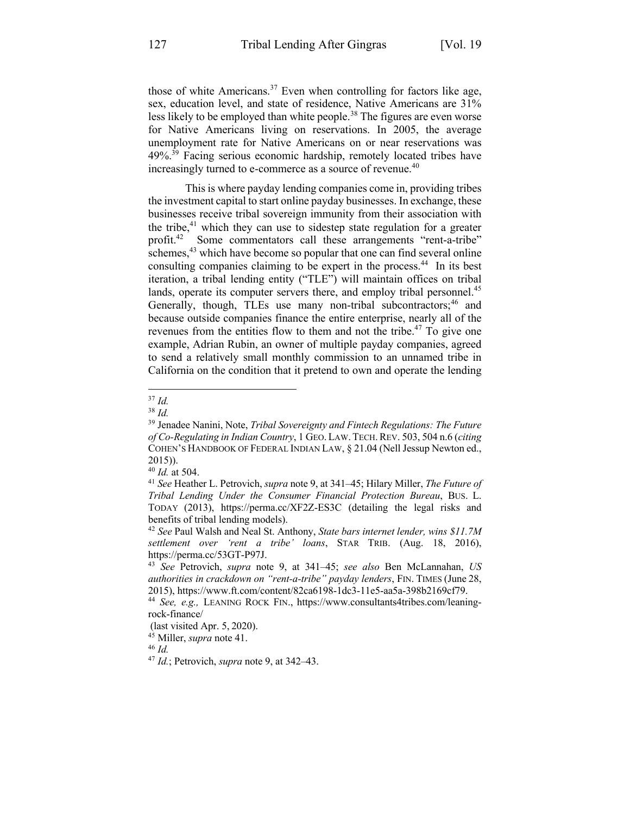those of white Americans.<sup>37</sup> Even when controlling for factors like age, sex, education level, and state of residence, Native Americans are 31% less likely to be employed than white people.<sup>38</sup> The figures are even worse for Native Americans living on reservations. In 2005, the average unemployment rate for Native Americans on or near reservations was  $49\%$ <sup>39</sup> Facing serious economic hardship, remotely located tribes have increasingly turned to e-commerce as a source of revenue.<sup>40</sup>

This is where payday lending companies come in, providing tribes the investment capital to start online payday businesses. In exchange, these businesses receive tribal sovereign immunity from their association with the tribe,<sup>41</sup> which they can use to sidestep state regulation for a greater profit.<sup>42</sup> Some commentators call these arrangements "rent-a-tribe" schemes,<sup>43</sup> which have become so popular that one can find several online consulting companies claiming to be expert in the process.<sup>44</sup> In its best iteration, a tribal lending entity ("TLE") will maintain offices on tribal lands, operate its computer servers there, and employ tribal personnel.<sup>45</sup> Generally, though, TLEs use many non-tribal subcontractors;<sup>46</sup> and because outside companies finance the entire enterprise, nearly all of the revenues from the entities flow to them and not the tribe. <sup>47</sup> To give one example, Adrian Rubin, an owner of multiple payday companies, agreed to send a relatively small monthly commission to an unnamed tribe in California on the condition that it pretend to own and operate the lending

<sup>38</sup> *Id.*

<sup>37</sup> *Id.*

<sup>39</sup> Jenadee Nanini, Note, *Tribal Sovereignty and Fintech Regulations: The Future of Co-Regulating in Indian Country*, 1 GEO. LAW. TECH.REV. 503, 504 n.6 (*citing* COHEN'S HANDBOOK OF FEDERAL INDIAN LAW, § 21.04 (Nell Jessup Newton ed., 2015)).

<sup>40</sup> *Id.* at 504.

<sup>41</sup> *See* Heather L. Petrovich, *supra* note 9, at 341–45; Hilary Miller, *The Future of Tribal Lending Under the Consumer Financial Protection Bureau*, BUS. L. TODAY (2013), https://perma.cc/XF2Z-ES3C (detailing the legal risks and benefits of tribal lending models).

<sup>42</sup> *See* Paul Walsh and Neal St. Anthony, *State bars internet lender, wins \$11.7M settlement over 'rent a tribe' loans*, STAR TRIB. (Aug. 18, 2016), https://perma.cc/53GT-P97J.

<sup>43</sup> *See* Petrovich, *supra* note 9, at 341–45; *see also* Ben McLannahan, *US authorities in crackdown on "rent-a-tribe" payday lenders*, FIN. TIMES (June 28, 2015), https://www.ft.com/content/82ca6198-1dc3-11e5-aa5a-398b2169cf79.

<sup>44</sup> *See, e.g.,* LEANING ROCK FIN., https://www.consultants4tribes.com/leaningrock-finance/

<sup>(</sup>last visited Apr. 5, 2020).

<sup>45</sup> Miller, *supra* note 41. 46 *Id.*

<sup>47</sup> *Id.*; Petrovich, *supra* note 9, at 342–43.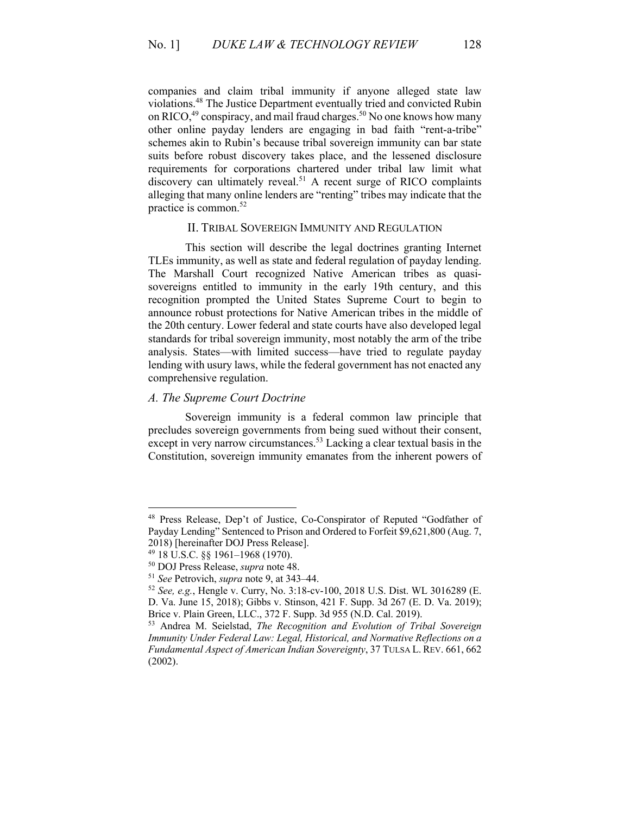companies and claim tribal immunity if anyone alleged state law violations.48 The Justice Department eventually tried and convicted Rubin on RICO,<sup>49</sup> conspiracy, and mail fraud charges.<sup>50</sup> No one knows how many other online payday lenders are engaging in bad faith "rent-a-tribe" schemes akin to Rubin's because tribal sovereign immunity can bar state suits before robust discovery takes place, and the lessened disclosure requirements for corporations chartered under tribal law limit what discovery can ultimately reveal.<sup>51</sup> A recent surge of RICO complaints alleging that many online lenders are "renting" tribes may indicate that the practice is common. $52$ 

#### II. TRIBAL SOVEREIGN IMMUNITY AND REGULATION

This section will describe the legal doctrines granting Internet TLEs immunity, as well as state and federal regulation of payday lending. The Marshall Court recognized Native American tribes as quasisovereigns entitled to immunity in the early 19th century, and this recognition prompted the United States Supreme Court to begin to announce robust protections for Native American tribes in the middle of the 20th century. Lower federal and state courts have also developed legal standards for tribal sovereign immunity, most notably the arm of the tribe analysis. States—with limited success—have tried to regulate payday lending with usury laws, while the federal government has not enacted any comprehensive regulation.

## *A. The Supreme Court Doctrine*

Sovereign immunity is a federal common law principle that precludes sovereign governments from being sued without their consent, except in very narrow circumstances.<sup>53</sup> Lacking a clear textual basis in the Constitution, sovereign immunity emanates from the inherent powers of

<sup>48</sup> Press Release, Dep't of Justice, Co-Conspirator of Reputed "Godfather of Payday Lending" Sentenced to Prison and Ordered to Forfeit \$9,621,800 (Aug. 7, 2018) [hereinafter DOJ Press Release].

<sup>49</sup> 18 U.S.C. §§ 1961–1968 (1970). 50 DOJ Press Release, *supra* note 48.

<sup>51</sup> *See* Petrovich, *supra* note 9, at 343–44.

<sup>52</sup> *See, e.g.*, Hengle v. Curry, No. 3:18-cv-100, 2018 U.S. Dist. WL 3016289 (E. D. Va. June 15, 2018); Gibbs v. Stinson, 421 F. Supp. 3d 267 (E. D. Va. 2019); Brice v. Plain Green, LLC., 372 F. Supp. 3d 955 (N.D. Cal. 2019).

<sup>53</sup> Andrea M. Seielstad, *The Recognition and Evolution of Tribal Sovereign Immunity Under Federal Law: Legal, Historical, and Normative Reflections on a Fundamental Aspect of American Indian Sovereignty*, 37 TULSA L. REV. 661, 662 (2002).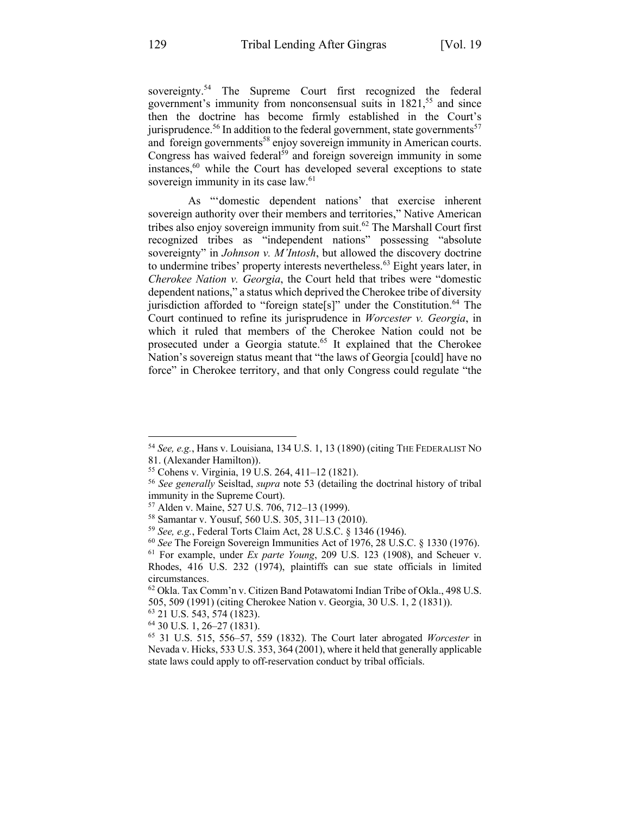sovereignty.<sup>54</sup> The Supreme Court first recognized the federal government's immunity from nonconsensual suits in 1821, <sup>55</sup> and since then the doctrine has become firmly established in the Court's jurisprudence.<sup>56</sup> In addition to the federal government, state governments<sup>57</sup> and foreign governments<sup>58</sup> enjoy sovereign immunity in American courts. Congress has waived federal $59$  and foreign sovereign immunity in some instances,<sup>60</sup> while the Court has developed several exceptions to state sovereign immunity in its case law.<sup>61</sup>

As "'domestic dependent nations' that exercise inherent sovereign authority over their members and territories," Native American tribes also enjoy sovereign immunity from suit.<sup>62</sup> The Marshall Court first recognized tribes as "independent nations" possessing "absolute sovereignty" in *Johnson v. M'Intosh*, but allowed the discovery doctrine to undermine tribes' property interests nevertheless.<sup>63</sup> Eight years later, in *Cherokee Nation v. Georgia*, the Court held that tribes were "domestic dependent nations," a status which deprived the Cherokee tribe of diversity jurisdiction afforded to "foreign state[s]" under the Constitution. <sup>64</sup> The Court continued to refine its jurisprudence in *Worcester v. Georgia*, in which it ruled that members of the Cherokee Nation could not be prosecuted under a Georgia statute.<sup>65</sup> It explained that the Cherokee Nation's sovereign status meant that "the laws of Georgia [could] have no force" in Cherokee territory, and that only Congress could regulate "the

<sup>54</sup> *See, e.g.*, Hans v. Louisiana, 134 U.S. 1, 13 (1890) (citing THE FEDERALIST NO 81. (Alexander Hamilton)). 55 Cohens v. Virginia, 19 U.S. 264, 411–12 (1821). 56 *See generally* Seisltad, *supra* note 53 (detailing the doctrinal history of tribal

immunity in the Supreme Court).

<sup>57</sup> Alden v. Maine, 527 U.S. 706, 712–13 (1999).

<sup>58</sup> Samantar v. Yousuf, 560 U.S. 305, 311–13 (2010).

<sup>59</sup> *See, e.g.*, Federal Torts Claim Act, 28 U.S.C. § 1346 (1946).

<sup>60</sup> *See* The Foreign Sovereign Immunities Act of 1976, 28 U.S.C. § 1330 (1976).

<sup>61</sup> For example, under *Ex parte Young*, 209 U.S. 123 (1908), and Scheuer v. Rhodes, 416 U.S. 232 (1974), plaintiffs can sue state officials in limited circumstances.

<sup>62</sup> Okla. Tax Comm'n v. Citizen Band Potawatomi Indian Tribe of Okla., 498 U.S. 505, 509 (1991) (citing Cherokee Nation v. Georgia, 30 U.S. 1, 2 (1831)).

<sup>63</sup> 21 U.S. 543, 574 (1823).

<sup>64</sup> 30 U.S. 1, 26–27 (1831).

<sup>65</sup> 31 U.S. 515, 556–57, 559 (1832). The Court later abrogated *Worcester* in Nevada v. Hicks, 533 U.S. 353, 364 (2001), where it held that generally applicable state laws could apply to off-reservation conduct by tribal officials.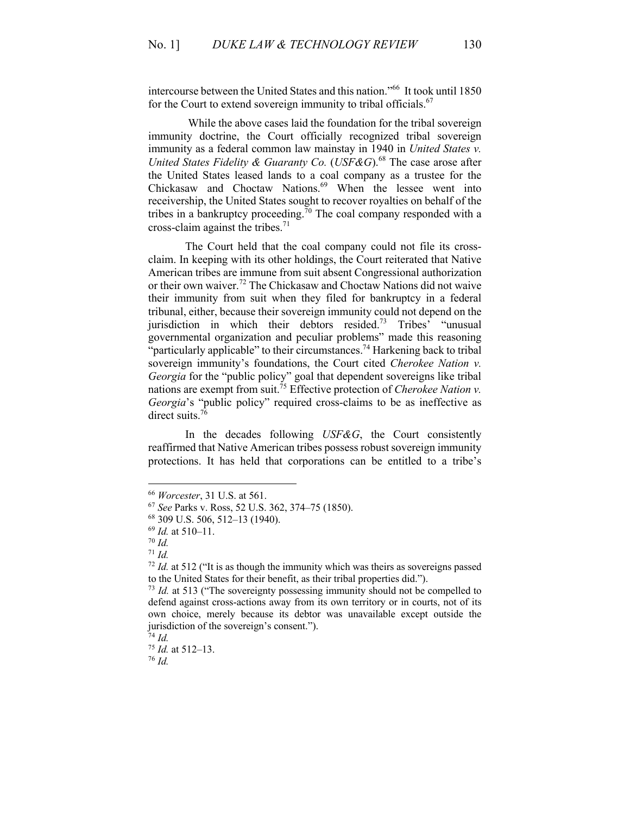intercourse between the United States and this nation."66 It took until 1850 for the Court to extend sovereign immunity to tribal officials.<sup>67</sup>

While the above cases laid the foundation for the tribal sovereign immunity doctrine, the Court officially recognized tribal sovereign immunity as a federal common law mainstay in 1940 in *United States v. United States Fidelity & Guaranty Co.* (*USF&G*). <sup>68</sup> The case arose after the United States leased lands to a coal company as a trustee for the Chickasaw and Choctaw Nations.<sup>69</sup> When the lessee went into receivership, the United States sought to recover royalties on behalf of the tribes in a bankruptcy proceeding.<sup>70</sup> The coal company responded with a cross-claim against the tribes. 71

The Court held that the coal company could not file its crossclaim. In keeping with its other holdings, the Court reiterated that Native American tribes are immune from suit absent Congressional authorization or their own waiver. <sup>72</sup> The Chickasaw and Choctaw Nations did not waive their immunity from suit when they filed for bankruptcy in a federal tribunal, either, because their sovereign immunity could not depend on the jurisdiction in which their debtors resided.<sup>73</sup> Tribes' "unusual governmental organization and peculiar problems" made this reasoning "particularly applicable" to their circumstances.<sup>74</sup> Harkening back to tribal sovereign immunity's foundations, the Court cited *Cherokee Nation v. Georgia* for the "public policy" goal that dependent sovereigns like tribal nations are exempt from suit.75 Effective protection of *Cherokee Nation v. Georgia*'s "public policy" required cross-claims to be as ineffective as direct suits.<sup>76</sup>

In the decades following *USF&G*, the Court consistently reaffirmed that Native American tribes possess robust sovereign immunity protections. It has held that corporations can be entitled to a tribe's

<sup>76</sup> *Id.*

<sup>66</sup> *Worcester*, 31 U.S. at 561. 67 *See* Parks v. Ross, 52 U.S. 362, 374–75 (1850).

<sup>68</sup> 309 U.S. 506, 512–13 (1940).

<sup>69</sup> *Id.* at 510–11.

<sup>70</sup> *Id.*

<sup>71</sup> *Id.*

<sup>72</sup> *Id.* at 512 ("It is as though the immunity which was theirs as sovereigns passed to the United States for their benefit, as their tribal properties did.").

<sup>&</sup>lt;sup>73</sup> *Id.* at 513 ("The sovereignty possessing immunity should not be compelled to defend against cross-actions away from its own territory or in courts, not of its own choice, merely because its debtor was unavailable except outside the jurisdiction of the sovereign's consent.").

<sup>74</sup> *Id.*

<sup>75</sup> *Id.* at 512–13.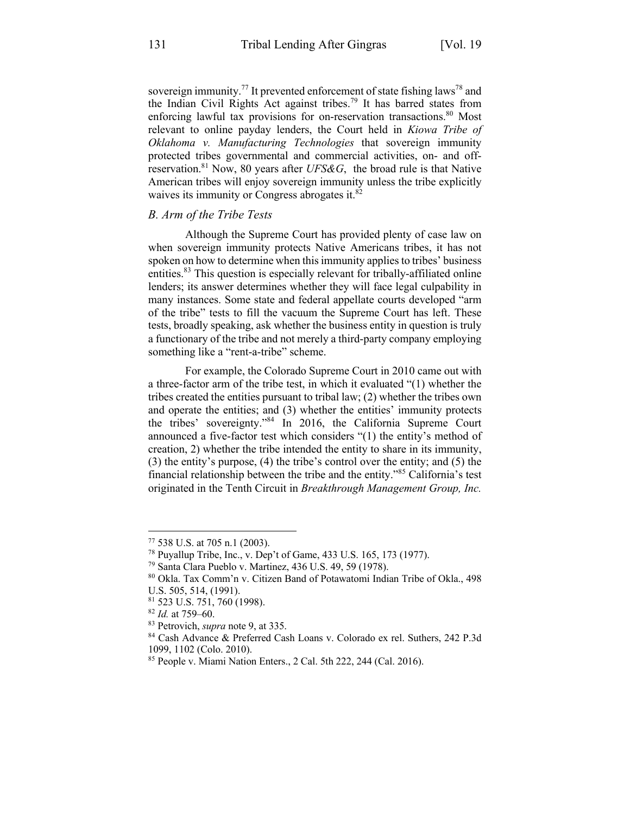sovereign immunity.<sup>77</sup> It prevented enforcement of state fishing laws<sup>78</sup> and the Indian Civil Rights Act against tribes.<sup>79</sup> It has barred states from enforcing lawful tax provisions for on-reservation transactions.<sup>80</sup> Most relevant to online payday lenders, the Court held in *Kiowa Tribe of Oklahoma v. Manufacturing Technologies* that sovereign immunity protected tribes governmental and commercial activities, on- and offreservation.<sup>81</sup> Now, 80 years after *UFS&G*, the broad rule is that Native American tribes will enjoy sovereign immunity unless the tribe explicitly waives its immunity or Congress abrogates it.<sup>82</sup>

# *B. Arm of the Tribe Tests*

Although the Supreme Court has provided plenty of case law on when sovereign immunity protects Native Americans tribes, it has not spoken on how to determine when this immunity applies to tribes' business entities. <sup>83</sup> This question is especially relevant for tribally-affiliated online lenders; its answer determines whether they will face legal culpability in many instances. Some state and federal appellate courts developed "arm of the tribe" tests to fill the vacuum the Supreme Court has left. These tests, broadly speaking, ask whether the business entity in question is truly a functionary of the tribe and not merely a third-party company employing something like a "rent-a-tribe" scheme.

For example, the Colorado Supreme Court in 2010 came out with a three-factor arm of the tribe test, in which it evaluated "(1) whether the tribes created the entities pursuant to tribal law; (2) whether the tribes own and operate the entities; and (3) whether the entities' immunity protects the tribes' sovereignty."84 In 2016, the California Supreme Court announced a five-factor test which considers "(1) the entity's method of creation, 2) whether the tribe intended the entity to share in its immunity, (3) the entity's purpose, (4) the tribe's control over the entity; and (5) the financial relationship between the tribe and the entity."<sup>85</sup> California's test originated in the Tenth Circuit in *Breakthrough Management Group, Inc.*

<sup>77</sup> 538 U.S. at 705 n.1 (2003).

<sup>78</sup> Puyallup Tribe, Inc., v. Dep't of Game, 433 U.S. 165, 173 (1977).

<sup>79</sup> Santa Clara Pueblo v. Martinez, 436 U.S. 49, 59 (1978).

<sup>80</sup> Okla. Tax Comm'n v. Citizen Band of Potawatomi Indian Tribe of Okla., 498 U.S. 505, 514, (1991).

<sup>81</sup> 523 U.S. 751, 760 (1998).

<sup>82</sup> *Id.* at 759–60.

<sup>83</sup> Petrovich, *supra* note 9, at 335.

<sup>84</sup> Cash Advance & Preferred Cash Loans v. Colorado ex rel. Suthers, 242 P.3d 1099, 1102 (Colo. 2010).

<sup>85</sup> People v. Miami Nation Enters., 2 Cal. 5th 222, 244 (Cal. 2016).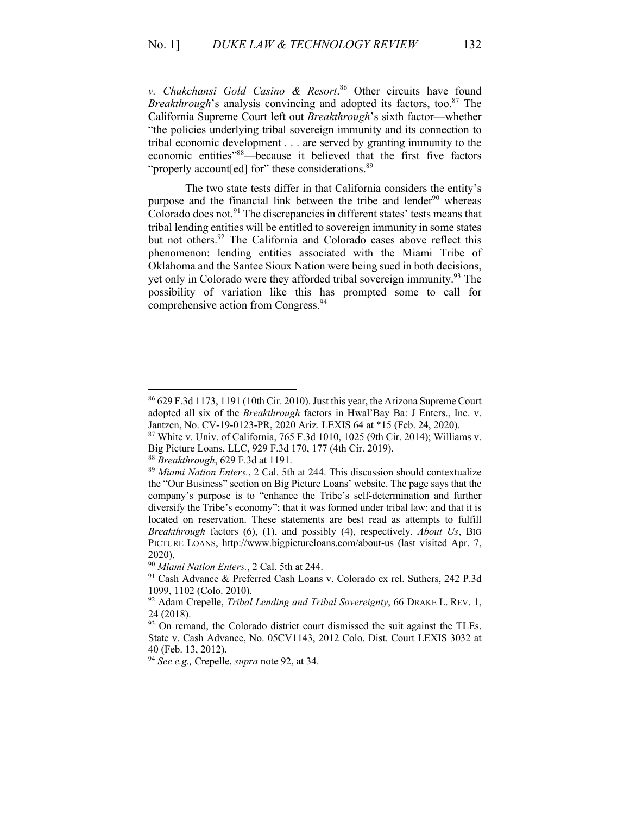*v. Chukchansi Gold Casino & Resort*. <sup>86</sup> Other circuits have found *Breakthrough*'s analysis convincing and adopted its factors, too.<sup>87</sup> The California Supreme Court left out *Breakthrough*'s sixth factor—whether "the policies underlying tribal sovereign immunity and its connection to tribal economic development . . . are served by granting immunity to the economic entities"88—because it believed that the first five factors "properly account [ed] for" these considerations.<sup>89</sup>

The two state tests differ in that California considers the entity's purpose and the financial link between the tribe and lender<sup>90</sup> whereas Colorado does not. $91$  The discrepancies in different states' tests means that tribal lending entities will be entitled to sovereign immunity in some states but not others.<sup>92</sup> The California and Colorado cases above reflect this phenomenon: lending entities associated with the Miami Tribe of Oklahoma and the Santee Sioux Nation were being sued in both decisions, yet only in Colorado were they afforded tribal sovereign immunity.<sup>93</sup> The possibility of variation like this has prompted some to call for comprehensive action from Congress.<sup>94</sup>

<sup>88</sup> *Breakthrough*, 629 F.3d at 1191.

<sup>86</sup> 629 F.3d 1173, 1191 (10th Cir. 2010). Just this year, the Arizona Supreme Court adopted all six of the *Breakthrough* factors in Hwal'Bay Ba: J Enters., Inc. v. Jantzen, No. CV-19-0123-PR, 2020 Ariz. LEXIS 64 at \*15 (Feb. 24, 2020).

 $87$  White v. Univ. of California, 765 F.3d 1010, 1025 (9th Cir. 2014); Williams v. Big Picture Loans, LLC, 929 F.3d 170, 177 (4th Cir. 2019).

<sup>89</sup> *Miami Nation Enters.*, 2 Cal. 5th at 244. This discussion should contextualize the "Our Business" section on Big Picture Loans' website. The page says that the company's purpose is to "enhance the Tribe's self-determination and further diversify the Tribe's economy"; that it was formed under tribal law; and that it is located on reservation. These statements are best read as attempts to fulfill *Breakthrough* factors (6), (1), and possibly (4), respectively. *About Us*, BIG PICTURE LOANS, http://www.bigpictureloans.com/about-us (last visited Apr. 7, 2020).

<sup>90</sup> *Miami Nation Enters.*, 2 Cal. 5th at 244.

<sup>91</sup> Cash Advance & Preferred Cash Loans v. Colorado ex rel. Suthers, 242 P.3d 1099, 1102 (Colo. 2010).

<sup>92</sup> Adam Crepelle, *Tribal Lending and Tribal Sovereignty*, 66 DRAKE L. REV. 1, 24 (2018).

 $93$  On remand, the Colorado district court dismissed the suit against the TLEs. State v. Cash Advance, No. 05CV1143, 2012 Colo. Dist. Court LEXIS 3032 at 40 (Feb. 13, 2012).

<sup>94</sup> *See e.g.,* Crepelle, *supra* note 92, at 34.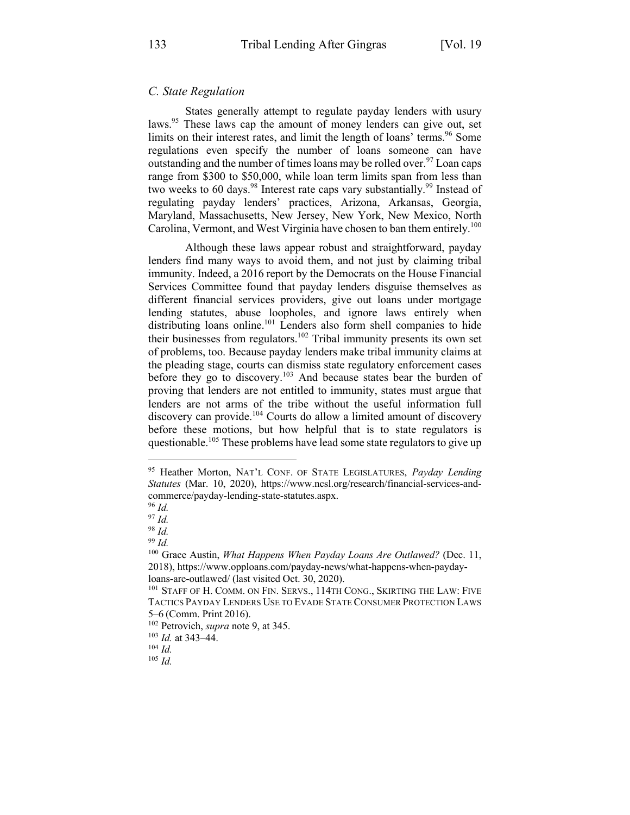## *C. State Regulation*

States generally attempt to regulate payday lenders with usury laws.<sup>95</sup> These laws cap the amount of money lenders can give out, set limits on their interest rates, and limit the length of loans' terms.<sup>96</sup> Some regulations even specify the number of loans someone can have outstanding and the number of times loans may be rolled over.<sup>97</sup> Loan caps range from \$300 to \$50,000, while loan term limits span from less than two weeks to 60 days.<sup>98</sup> Interest rate caps vary substantially.<sup>99</sup> Instead of regulating payday lenders' practices, Arizona, Arkansas, Georgia, Maryland, Massachusetts, New Jersey, New York, New Mexico, North Carolina, Vermont, and West Virginia have chosen to ban them entirely.<sup>100</sup>

Although these laws appear robust and straightforward, payday lenders find many ways to avoid them, and not just by claiming tribal immunity. Indeed, a 2016 report by the Democrats on the House Financial Services Committee found that payday lenders disguise themselves as different financial services providers, give out loans under mortgage lending statutes, abuse loopholes, and ignore laws entirely when distributing loans online.<sup>101</sup> Lenders also form shell companies to hide their businesses from regulators.<sup>102</sup> Tribal immunity presents its own set of problems, too. Because payday lenders make tribal immunity claims at the pleading stage, courts can dismiss state regulatory enforcement cases before they go to discovery.<sup>103</sup> And because states bear the burden of proving that lenders are not entitled to immunity, states must argue that lenders are not arms of the tribe without the useful information full discovery can provide.<sup>104</sup> Courts do allow a limited amount of discovery before these motions, but how helpful that is to state regulators is questionable.105 These problems have lead some state regulators to give up

<sup>95</sup> Heather Morton, NAT'L CONF. OF STATE LEGISLATURES, *Payday Lending Statutes* (Mar. 10, 2020), https://www.ncsl.org/research/financial-services-andcommerce/payday-lending-state-statutes.aspx.

<sup>96</sup> *Id.*

<sup>97</sup> *Id.*

<sup>98</sup> *Id.*

<sup>99</sup> *Id.*

<sup>&</sup>lt;sup>100</sup> Grace Austin, *What Happens When Payday Loans Are Outlawed?* (Dec. 11, 2018), https://www.opploans.com/payday-news/what-happens-when-paydayloans-are-outlawed/ (last visited Oct. 30, 2020).<br><sup>101</sup> STAFF OF H. COMM. ON FIN. SERVS., 114TH CONG., SKIRTING THE LAW: FIVE

TACTICS PAYDAY LENDERS USE TO EVADE STATE CONSUMER PROTECTION LAWS 5–6 (Comm. Print 2016).

<sup>102</sup> Petrovich, *supra* note 9, at 345.

<sup>103</sup> *Id.* at 343–44. 104 *Id.*

<sup>105</sup> *Id.*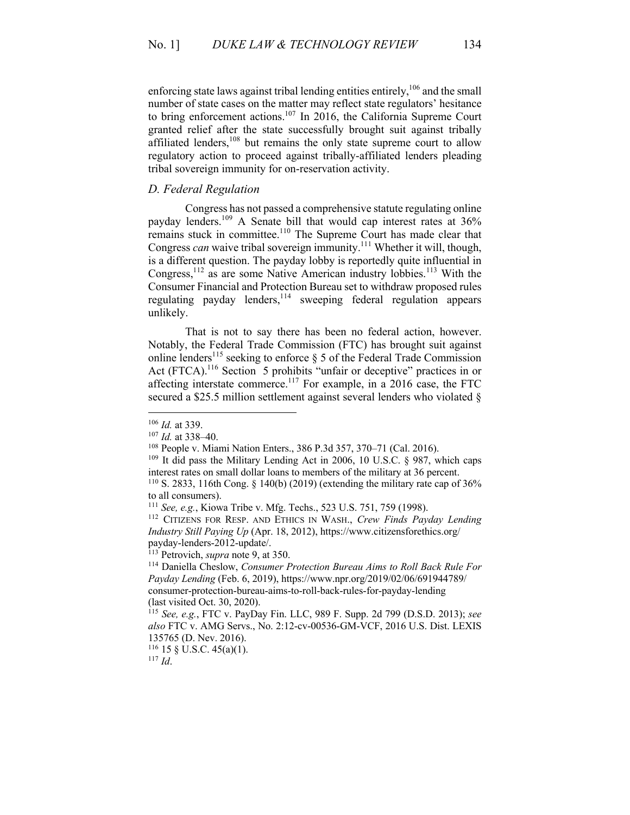enforcing state laws against tribal lending entities entirely,<sup>106</sup> and the small number of state cases on the matter may reflect state regulators' hesitance to bring enforcement actions.<sup>107</sup> In 2016, the California Supreme Court granted relief after the state successfully brought suit against tribally affiliated lenders,<sup>108</sup> but remains the only state supreme court to allow regulatory action to proceed against tribally-affiliated lenders pleading tribal sovereign immunity for on-reservation activity.

# *D. Federal Regulation*

Congress has not passed a comprehensive statute regulating online payday lenders. <sup>109</sup> A Senate bill that would cap interest rates at 36% remains stuck in committee.<sup>110</sup> The Supreme Court has made clear that Congress *can* waive tribal sovereign immunity.<sup>111</sup> Whether it will, though, is a different question. The payday lobby is reportedly quite influential in Congress,  $^{112}$  as are some Native American industry lobbies.<sup>113</sup> With the Consumer Financial and Protection Bureau set to withdraw proposed rules regulating payday lenders,<sup>114</sup> sweeping federal regulation appears unlikely.

That is not to say there has been no federal action, however. Notably, the Federal Trade Commission (FTC) has brought suit against online lenders<sup>115</sup> seeking to enforce  $\S$  5 of the Federal Trade Commission Act (FTCA).<sup>116</sup> Section 5 prohibits "unfair or deceptive" practices in or affecting interstate commerce.<sup>117</sup> For example, in a 2016 case, the FTC secured a \$25.5 million settlement against several lenders who violated §

<sup>116</sup> 15 § U.S.C. 45(a)(1).

<sup>106</sup> *Id.* at 339. 107 *Id.* at 338–40.

<sup>108</sup> People v. Miami Nation Enters., 386 P.3d 357, 370–71 (Cal. 2016).

 $109$  It did pass the Military Lending Act in 2006, 10 U.S.C. § 987, which caps interest rates on small dollar loans to members of the military at 36 percent.<br><sup>110</sup> S. 2833, 116th Cong. § 140(b) (2019) (extending the military rate cap of 36%

to all consumers).

<sup>111</sup> *See, e.g.*, Kiowa Tribe v. Mfg. Techs., 523 U.S. 751, 759 (1998).

<sup>112</sup> CITIZENS FOR RESP. AND ETHICS IN WASH., *Crew Finds Payday Lending Industry Still Paying Up* (Apr. 18, 2012), https://www.citizensforethics.org/

<sup>&</sup>lt;sup>113</sup> Petrovich, *supra* note 9, at 350.

<sup>114</sup> Daniella Cheslow, *Consumer Protection Bureau Aims to Roll Back Rule For Payday Lending* (Feb. 6, 2019), https://www.npr.org/2019/02/06/691944789/ consumer-protection-bureau-aims-to-roll-back-rules-for-payday-lending (last visited Oct. 30, 2020).

<sup>115</sup> *See, e.g.*, FTC v. PayDay Fin. LLC, 989 F. Supp. 2d 799 (D.S.D. 2013); *see also* FTC v. AMG Servs., No. 2:12-cv-00536-GM-VCF, 2016 U.S. Dist. LEXIS 135765 (D. Nev. 2016).

<sup>117</sup> *Id*.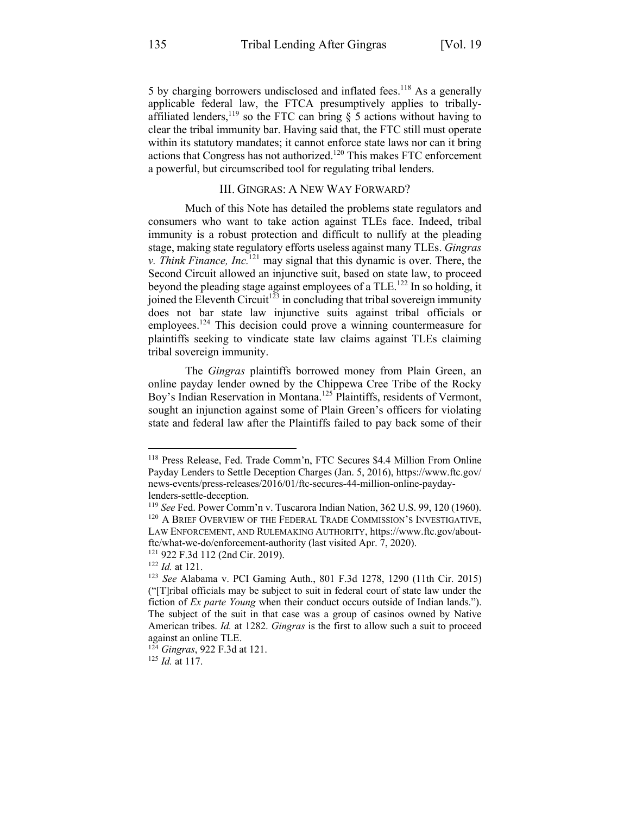5 by charging borrowers undisclosed and inflated fees.<sup>118</sup> As a generally applicable federal law, the FTCA presumptively applies to triballyaffiliated lenders,<sup>119</sup> so the FTC can bring  $\S$  5 actions without having to clear the tribal immunity bar. Having said that, the FTC still must operate within its statutory mandates; it cannot enforce state laws nor can it bring actions that Congress has not authorized.120 This makes FTC enforcement a powerful, but circumscribed tool for regulating tribal lenders.

# III. GINGRAS: A NEW WAY FORWARD?

Much of this Note has detailed the problems state regulators and consumers who want to take action against TLEs face. Indeed, tribal immunity is a robust protection and difficult to nullify at the pleading stage, making state regulatory efforts useless against many TLEs. *Gingras v. Think Finance, Inc.*<sup>121</sup> may signal that this dynamic is over. There, the Second Circuit allowed an injunctive suit, based on state law, to proceed beyond the pleading stage against employees of a TLE.<sup>122</sup> In so holding, it joined the Eleventh Circuit<sup>123</sup> in concluding that tribal sovereign immunity does not bar state law injunctive suits against tribal officials or employees.<sup>124</sup> This decision could prove a winning countermeasure for plaintiffs seeking to vindicate state law claims against TLEs claiming tribal sovereign immunity.

The *Gingras* plaintiffs borrowed money from Plain Green, an online payday lender owned by the Chippewa Cree Tribe of the Rocky Boy's Indian Reservation in Montana.125 Plaintiffs, residents of Vermont, sought an injunction against some of Plain Green's officers for violating state and federal law after the Plaintiffs failed to pay back some of their

<sup>118</sup> Press Release, Fed. Trade Comm'n, FTC Secures \$4.4 Million From Online Payday Lenders to Settle Deception Charges (Jan. 5, 2016), https://www.ftc.gov/ news-events/press-releases/2016/01/ftc-secures-44-million-online-paydaylenders-settle-deception.

<sup>119</sup> *See* Fed. Power Comm'n v. Tuscarora Indian Nation, 362 U.S. 99, 120 (1960). <sup>120</sup> A BRIEF OVERVIEW OF THE FEDERAL TRADE COMMISSION'S INVESTIGATIVE, LAW ENFORCEMENT, AND RULEMAKING AUTHORITY, https://www.ftc.gov/aboutftc/what-we-do/enforcement-authority (last visited Apr. 7, 2020).

<sup>121</sup> 922 F.3d 112 (2nd Cir. 2019).

<sup>122</sup> *Id.* at 121.

<sup>123</sup> *See* Alabama v. PCI Gaming Auth., 801 F.3d 1278, 1290 (11th Cir. 2015) ("[T]ribal officials may be subject to suit in federal court of state law under the fiction of *Ex parte Young* when their conduct occurs outside of Indian lands."). The subject of the suit in that case was a group of casinos owned by Native American tribes. *Id.* at 1282. *Gingras* is the first to allow such a suit to proceed against an online TLE.

<sup>124</sup> *Gingras*, 922 F.3d at 121.

<sup>125</sup> *Id.* at 117.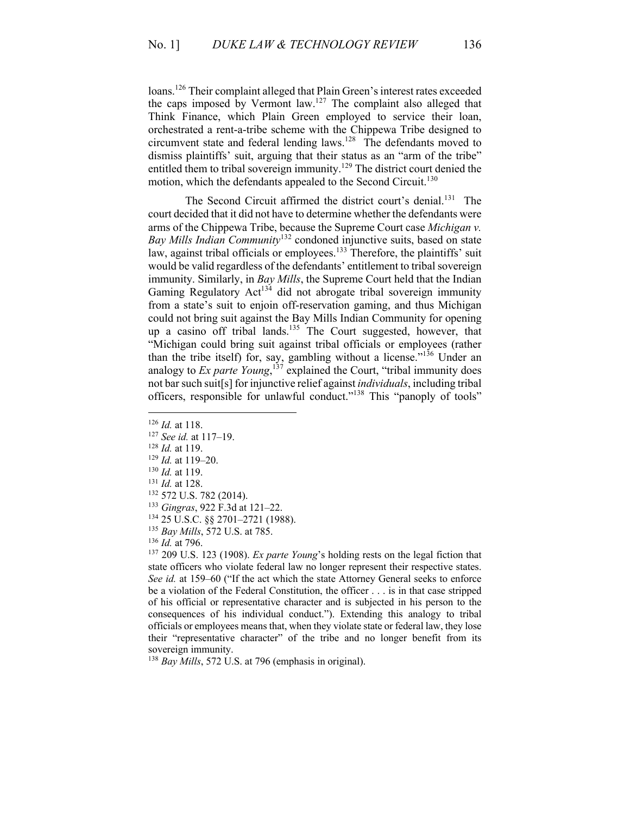loans.<sup>126</sup> Their complaint alleged that Plain Green's interest rates exceeded the caps imposed by Vermont law.127 The complaint also alleged that Think Finance, which Plain Green employed to service their loan, orchestrated a rent-a-tribe scheme with the Chippewa Tribe designed to circumvent state and federal lending laws.<sup>128</sup> The defendants moved to dismiss plaintiffs' suit, arguing that their status as an "arm of the tribe" entitled them to tribal sovereign immunity.<sup>129</sup> The district court denied the motion, which the defendants appealed to the Second Circuit.<sup>130</sup>

The Second Circuit affirmed the district court's denial.<sup>131</sup> The court decided that it did not have to determine whether the defendants were arms of the Chippewa Tribe, because the Supreme Court case *Michigan v. Bay Mills Indian Community*<sup>132</sup> condoned injunctive suits, based on state law, against tribal officials or employees.<sup>133</sup> Therefore, the plaintiffs' suit would be valid regardless of the defendants' entitlement to tribal sovereign immunity. Similarly, in *Bay Mills*, the Supreme Court held that the Indian Gaming Regulatory  $Act^{134}$  did not abrogate tribal sovereign immunity from a state's suit to enjoin off-reservation gaming, and thus Michigan could not bring suit against the Bay Mills Indian Community for opening up a casino off tribal lands.<sup>135</sup> The Court suggested, however, that "Michigan could bring suit against tribal officials or employees (rather than the tribe itself) for, say, gambling without a license."<sup>136</sup> Under an analogy to *Ex parte Young*, <sup>137</sup> explained the Court, "tribal immunity does not bar such suit[s] for injunctive relief against *individuals*, including tribal officers, responsible for unlawful conduct."<sup>138</sup> This "panoply of tools"

- <sup>128</sup> *Id.* at 119.
- <sup>129</sup> *Id.* at 119–20.
- <sup>130</sup> *Id.* at 119.
- <sup>131</sup> *Id.* at 128.
- <sup>132</sup> 572 U.S. 782 (2014).
- <sup>133</sup> *Gingras*, 922 F.3d at 121–22.
- <sup>134</sup> 25 U.S.C. §§ 2701–2721 (1988).
- <sup>135</sup> *Bay Mills*, 572 U.S. at 785. 136 *Id.* at 796.
- 

<sup>137</sup> 209 U.S. 123 (1908). *Ex parte Young*'s holding rests on the legal fiction that state officers who violate federal law no longer represent their respective states. *See id.* at 159–60 ("If the act which the state Attorney General seeks to enforce be a violation of the Federal Constitution, the officer . . . is in that case stripped of his official or representative character and is subjected in his person to the consequences of his individual conduct."). Extending this analogy to tribal officials or employees means that, when they violate state or federal law, they lose their "representative character" of the tribe and no longer benefit from its sovereign immunity.

<sup>138</sup> *Bay Mills*, 572 U.S. at 796 (emphasis in original).

<sup>126</sup> *Id.* at 118.

<sup>127</sup> *See id.* at 117–19.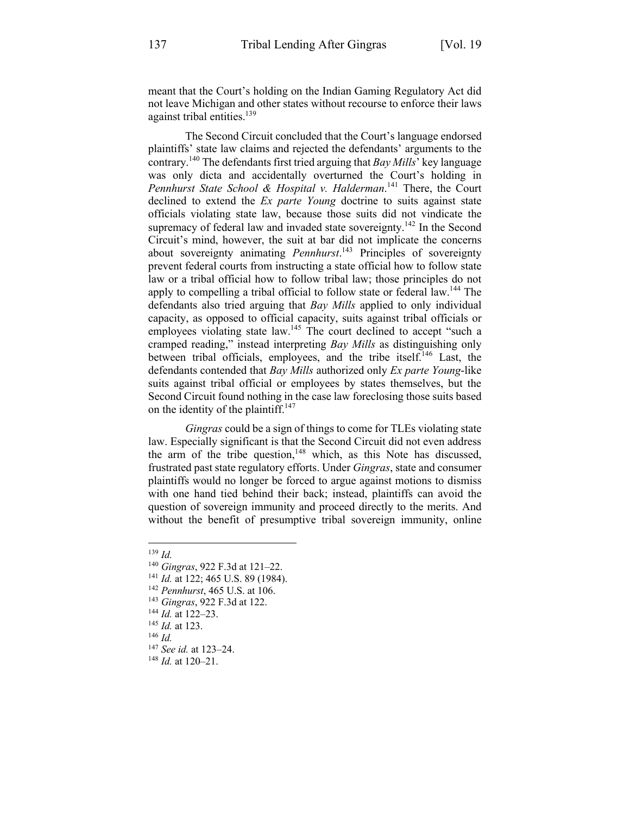meant that the Court's holding on the Indian Gaming Regulatory Act did not leave Michigan and other states without recourse to enforce their laws against tribal entities. $139$ 

The Second Circuit concluded that the Court's language endorsed plaintiffs' state law claims and rejected the defendants' arguments to the contrary. <sup>140</sup> The defendants first tried arguing that *Bay Mills*' key language was only dicta and accidentally overturned the Court's holding in *Pennhurst State School & Hospital v. Halderman*. <sup>141</sup> There, the Court declined to extend the *Ex parte Young* doctrine to suits against state officials violating state law, because those suits did not vindicate the supremacy of federal law and invaded state sovereignty.<sup>142</sup> In the Second Circuit's mind, however, the suit at bar did not implicate the concerns about sovereignty animating *Pennhurst*. <sup>143</sup> Principles of sovereignty prevent federal courts from instructing a state official how to follow state law or a tribal official how to follow tribal law; those principles do not apply to compelling a tribal official to follow state or federal law.<sup>144</sup> The defendants also tried arguing that *Bay Mills* applied to only individual capacity, as opposed to official capacity, suits against tribal officials or employees violating state law.<sup>145</sup> The court declined to accept "such a cramped reading," instead interpreting *Bay Mills* as distinguishing only between tribal officials, employees, and the tribe itself.146 Last, the defendants contended that *Bay Mills* authorized only *Ex parte Young*-like suits against tribal official or employees by states themselves, but the Second Circuit found nothing in the case law foreclosing those suits based on the identity of the plaintiff.<sup>147</sup>

*Gingras* could be a sign of things to come for TLEs violating state law. Especially significant is that the Second Circuit did not even address the arm of the tribe question, $148$  which, as this Note has discussed, frustrated past state regulatory efforts. Under *Gingras*, state and consumer plaintiffs would no longer be forced to argue against motions to dismiss with one hand tied behind their back; instead, plaintiffs can avoid the question of sovereign immunity and proceed directly to the merits. And without the benefit of presumptive tribal sovereign immunity, online

<sup>147</sup> *See id.* at 123–24.

<sup>139</sup> *Id.*

<sup>140</sup> *Gingras*, 922 F.3d at 121–22.

<sup>141</sup> *Id.* at 122; 465 U.S. 89 (1984). 142 *Pennhurst*, 465 U.S. at 106. 143 *Gingras*, 922 F.3d at 122.

<sup>144</sup> *Id.* at 122–23.

<sup>145</sup> *Id.* at 123.

<sup>146</sup> *Id.*

<sup>148</sup> *Id.* at 120–21.